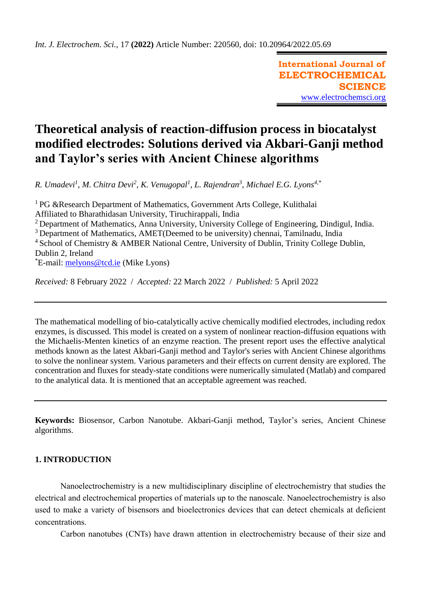**International Journal of ELECTROCHEMICAL SCIENCE** [www.electrochemsci.org](http://www.electrochemsci.org/)

# **Theoretical analysis of reaction-diffusion process in biocatalyst modified electrodes: Solutions derived via Akbari-Ganji method and Taylor's series with Ancient Chinese algorithms**

*R. Umadevi<sup>1</sup> , M. Chitra Devi<sup>2</sup> , K. Venugopal<sup>1</sup> , L. Rajendran<sup>3</sup> , Michael E.G. Lyons4,\**

<sup>1</sup> PG &Research Department of Mathematics, Government Arts College, Kulithalai Affiliated to Bharathidasan University, Tiruchirappali, India  $2$  Department of Mathematics, Anna University, University College of Engineering, Dindigul, India. <sup>3</sup> Department of Mathematics, AMET(Deemed to be university) chennai, Tamilnadu, India <sup>4</sup> School of Chemistry & AMBER National Centre, University of Dublin, Trinity College Dublin, Dublin 2, Ireland

\*E-mail: [melyons@tcd.ie](mailto:melyons@tcd.ie) (Mike Lyons)

*Received:* 8 February 2022/ *Accepted:* 22 March 2022 / *Published:* 5 April 2022

The mathematical modelling of bio-catalytically active chemically modified electrodes, including redox enzymes, is discussed. This model is created on a system of nonlinear reaction-diffusion equations with the Michaelis-Menten kinetics of an enzyme reaction. The present report uses the effective analytical methods known as the latest Akbari-Ganji method and Taylor's series with Ancient Chinese algorithms to solve the nonlinear system. Various parameters and their effects on current density are explored. The concentration and fluxes for steady-state conditions were numerically simulated (Matlab) and compared to the analytical data. It is mentioned that an acceptable agreement was reached.

**Keywords:** Biosensor, Carbon Nanotube. Akbari-Ganji method, Taylor's series, Ancient Chinese algorithms.

# **1. INTRODUCTION**

Nanoelectrochemistry is a new multidisciplinary discipline of electrochemistry that studies the electrical and electrochemical properties of materials up to the nanoscale. Nanoelectrochemistry is also used to make a variety of bisensors and bioelectronics devices that can detect chemicals at deficient concentrations.

Carbon nanotubes (CNTs) have drawn attention in electrochemistry because of their size and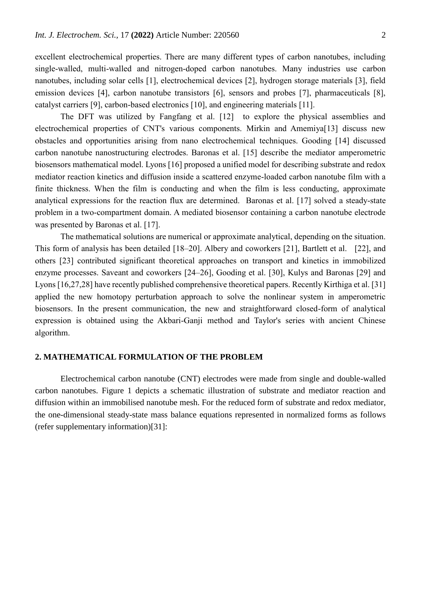excellent electrochemical properties. There are many different types of carbon nanotubes, including single-walled, multi-walled and nitrogen-doped carbon nanotubes. Many industries use carbon nanotubes, including solar cells [1], electrochemical devices [2], hydrogen storage materials [3], field emission devices [4], carbon nanotube transistors [6], sensors and probes [7], pharmaceuticals [8], catalyst carriers [9], carbon-based electronics [10], and engineering materials [11].

The DFT was utilized by Fangfang et al. [12] to explore the physical assemblies and electrochemical properties of CNT's various components. Mirkin and Amemiya[13] discuss new obstacles and opportunities arising from nano electrochemical techniques. Gooding [14] discussed carbon nanotube nanostructuring electrodes. Baronas et al. [15] describe the mediator amperometric biosensors mathematical model. Lyons [16] proposed a unified model for describing substrate and redox mediator reaction kinetics and diffusion inside a scattered enzyme-loaded carbon nanotube film with a finite thickness. When the film is conducting and when the film is less conducting, approximate analytical expressions for the reaction flux are determined. Baronas et al. [17] solved a steady-state problem in a two-compartment domain. A mediated biosensor containing a carbon nanotube electrode was presented by Baronas et al. [17].

The mathematical solutions are numerical or approximate analytical, depending on the situation. This form of analysis has been detailed [18–20]. Albery and coworkers [21], Bartlett et al. [22], and others [23] contributed significant theoretical approaches on transport and kinetics in immobilized enzyme processes. Saveant and coworkers [24–26], Gooding et al. [30], Kulys and Baronas [29] and Lyons [16,27,28] have recently published comprehensive theoretical papers. Recently Kirthiga et al. [31] applied the new homotopy perturbation approach to solve the nonlinear system in amperometric biosensors. In the present communication, the new and straightforward closed-form of analytical expression is obtained using the Akbari-Ganji method and Taylor's series with ancient Chinese algorithm.

#### **2. MATHEMATICAL FORMULATION OF THE PROBLEM**

Electrochemical carbon nanotube (CNT) electrodes were made from single and double-walled carbon nanotubes. Figure 1 depicts a schematic illustration of substrate and mediator reaction and diffusion within an immobilised nanotube mesh. For the reduced form of substrate and redox mediator, the one-dimensional steady-state mass balance equations represented in normalized forms as follows (refer supplementary information)[31]: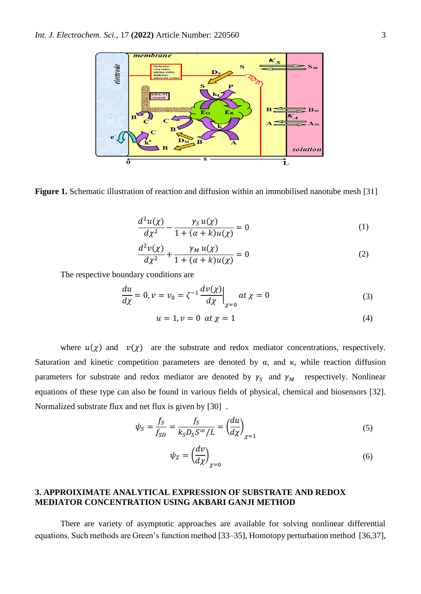

**Figure 1.** Schematic illustration of reaction and diffusion within an immobilised nanotube mesh [31]

$$
\frac{d^2u(\chi)}{d\chi^2} - \frac{\gamma_S u(\chi)}{1 + (\alpha + k)u(\chi)} = 0\tag{1}
$$

$$
\frac{d^2v(\chi)}{d\chi^2} + \frac{\gamma_M u(\chi)}{1 + (\alpha + k)u(\chi)} = 0
$$
\n(2)

The respective boundary conditions are

$$
\frac{du}{d\chi} = 0, v = v_0 = \zeta^{-1} \frac{dv(\chi)}{d\chi}\bigg|_{\chi=0} at \chi = 0
$$
\n(3)

$$
u = 1, v = 0 \text{ at } \chi = 1 \tag{4}
$$

where  $u(\chi)$  and  $v(\chi)$  are the substrate and redox mediator concentrations, respectively. Saturation and kinetic competition parameters are denoted by  $\alpha$ , and  $\kappa$ , while reaction diffusion parameters for substrate and redox mediator are denoted by  $\gamma_s$  and  $\gamma_M$  respectively. Nonlinear equations of these type can also be found in various fields of physical, chemical and biosensors [32]. Normalized substrate flux and net flux is given by [30] .

$$
\psi_S = \frac{f_S}{f_{SD}} = \frac{f_S}{k_S D_S S^\infty / L} = \left(\frac{du}{d\chi}\right)_{\chi=1} \tag{5}
$$

$$
\psi_{\Sigma} = \left(\frac{dv}{d\chi}\right)_{\chi=0} \tag{6}
$$

# **3. APPROIXIMATE ANALYTICAL EXPRESSION OF SUBSTRATE AND REDOX MEDIATOR CONCENTRATION USING AKBARI GANJI METHOD**

There are variety of asymptotic approaches are available for solving nonlinear differential equations. Such methods are Green's function method [33–35], Homotopy perturbation method [36,37],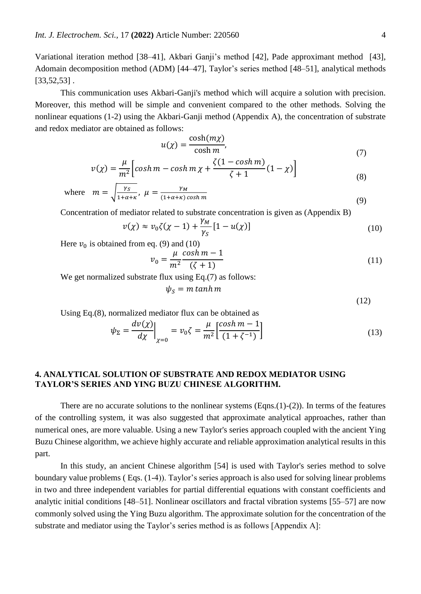Variational iteration method [38–41], Akbari Ganji's method [42], Pade approximant method [43], Adomain decomposition method (ADM) [44–47], Taylor's series method [48–51], analytical methods  $[33,52,53]$ .

This communication uses Akbari-Ganji's method which will acquire a solution with precision. Moreover, this method will be simple and convenient compared to the other methods. Solving the nonlinear equations (1-2) using the Akbari-Ganji method (Appendix A), the concentration of substrate and redox mediator are obtained as follows:

$$
u(\chi) = \frac{\cosh(m\chi)}{\cosh m},\tag{7}
$$

$$
v(\chi) = \frac{\mu}{m^2} \left[ \cosh m - \cosh m \chi + \frac{\zeta (1 - \cosh m)}{\zeta + 1} (1 - \chi) \right]
$$
(8)

where  $m = \sqrt{\frac{\gamma_S}{1+\alpha}}$  $\frac{\gamma_S}{1+\alpha+\kappa}$ ,  $\mu = \frac{\gamma_M}{(1+\alpha+\kappa)}$  $(1+a+\kappa)\cosh m$  (9)

Concentration of mediator related to substrate concentration is given as (Appendix B)

$$
v(\chi) \approx v_0 \zeta(\chi - 1) + \frac{\gamma_M}{\gamma_S} [1 - u(\chi)] \tag{10}
$$

Here  $v_0$  is obtained from eq. (9) and (10)

$$
v_0 = \frac{\mu}{m^2} \frac{\cosh m - 1}{(\zeta + 1)}\tag{11}
$$

We get normalized substrate flux using Eq.(7) as follows:

$$
\psi_S = m \tanh m
$$

(12)

Using Eq.(8), normalized mediator flux can be obtained as

$$
\psi_{\Sigma} = \frac{dv(\chi)}{d\chi}\Big|_{\chi=0} = v_0 \zeta = \frac{\mu}{m^2} \left[ \frac{\cosh m - 1}{(1 + \zeta^{-1})} \right] \tag{13}
$$

### **4. ANALYTICAL SOLUTION OF SUBSTRATE AND REDOX MEDIATOR USING TAYLOR'S SERIES AND YING BUZU CHINESE ALGORITHM.**

There are no accurate solutions to the nonlinear systems  $(Engns. (1)-(2))$ . In terms of the features of the controlling system, it was also suggested that approximate analytical approaches, rather than numerical ones, are more valuable. Using a new Taylor's series approach coupled with the ancient Ying Buzu Chinese algorithm, we achieve highly accurate and reliable approximation analytical results in this part.

In this study, an ancient Chinese algorithm [54] is used with Taylor's series method to solve boundary value problems ( Eqs. (1-4)). Taylor's series approach is also used for solving linear problems in two and three independent variables for partial differential equations with constant coefficients and analytic initial conditions [48–51]. Nonlinear oscillators and fractal vibration systems [55–57] are now commonly solved using the Ying Buzu algorithm. The approximate solution for the concentration of the substrate and mediator using the Taylor's series method is as follows [Appendix A]: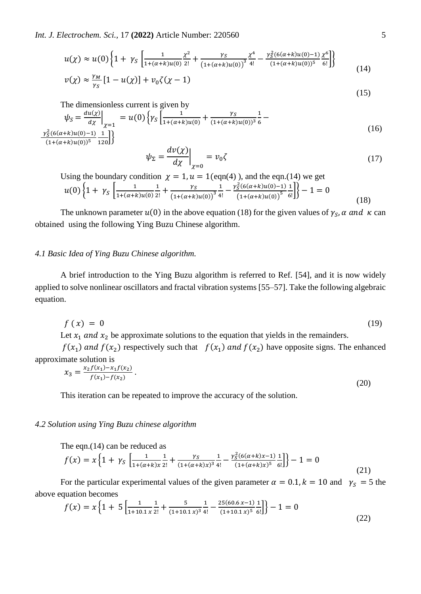*Int. J. Electrochem. Sci.,* 17 **(2022)** Article Number: 220560 5

$$
u(\chi) \approx u(0) \left\{ 1 + \gamma_S \left[ \frac{1}{1 + (\alpha + k)u(0)} \frac{\chi^2}{2!} + \frac{\gamma_S}{\left(1 + (\alpha + k)u(0)\right)^3} \frac{\chi^4}{4!} - \frac{\gamma_S^2 (6(\alpha + k)u(0) - 1)}{(1 + (\alpha + k)u(0))^5} \frac{\chi^6}{6!} \right] \right\}
$$
(14)

$$
v(\chi) \approx \frac{\gamma_M}{\gamma_S} [1 - u(\chi)] + v_0 \zeta(\chi - 1)
$$
\n(15)

The dimensionless current is given by

$$
\psi_{S} = \frac{du(\chi)}{d\chi}\Big|_{\chi=1} = u(0)\left\{\gamma_{S}\left[\frac{1}{1+(a+k)u(0)} + \frac{\gamma_{S}}{(1+(a+k)u(0))^3}\frac{1}{6} - \frac{\gamma_{S}^2(6(a+k)u(0)-1)}{(1+(a+k)u(0))^5}\frac{1}{120}\right]\right\}
$$
\n(16)

$$
\psi_{\Sigma} = \frac{dv(\chi)}{d\chi}\Big|_{\chi=0} = v_0 \zeta \tag{17}
$$

Using the boundary condition  $\chi = 1$ ,  $u = 1$  (eqn(4)), and the eqn.(14) we get  $u(0)\left\{1+\gamma_{S}\right\}\frac{1}{1+(\alpha+1)}$  $1 + (\alpha + k)u(0)$ 1  $\frac{1}{2!} + \frac{\gamma_S}{(1+(\alpha+k))}$  $\overline{(1+(\alpha+k)u(0))}^3$ 1  $\frac{1}{4!} - \frac{\gamma_S^2 (6(\alpha+k)u(0)-1)}{(1+(\alpha+k)u(0))^5}$  $\overline{(1+(\alpha+k)u(0))}^5$ 1  $\frac{1}{6!}$  |  $\{-1=0$ (18)

The unknown parameter  $u(0)$  in the above equation (18) for the given values of  $\gamma_s$ ,  $\alpha$  and  $\kappa$  can obtained using the following Ying Buzu Chinese algorithm.

#### *4.1 Basic Idea of Ying Buzu Chinese algorithm.*

A brief introduction to the Ying Buzu algorithm is referred to Ref. [54], and it is now widely applied to solve nonlinear oscillators and fractal vibration systems [55–57]. Take the following algebraic equation.

$$
f(x) = 0 \tag{19}
$$

Let  $x_1$  and  $x_2$  be approximate solutions to the equation that yields in the remainders.

 $f(x_1)$  and  $f(x_2)$  respectively such that  $f(x_1)$  and  $f(x_2)$  have opposite signs. The enhanced approximate solution is

$$
x_3 = \frac{x_2 f(x_1) - x_1 f(x_2)}{f(x_1) - f(x_2)}.
$$
\n(20)

This iteration can be repeated to improve the accuracy of the solution.

#### *4.2 Solution using Ying Buzu chinese algorithm*

The eqn.(14) can be reduced as

$$
f(x) = x \left\{ 1 + \gamma_S \left[ \frac{1}{1 + (\alpha + k)x} \frac{1}{2!} + \frac{\gamma_S}{(1 + (\alpha + k)x)^3} \frac{1}{4!} - \frac{\gamma_S^2 (6(\alpha + k)x - 1)}{(1 + (\alpha + k)x)^5} \frac{1}{6!} \right] \right\} - 1 = 0
$$
\n(21)

For the particular experimental values of the given parameter  $\alpha = 0.1$ ,  $k = 10$  and  $\gamma_s = 5$  the above equation becomes

$$
f(x) = x \left\{ 1 + 5 \left[ \frac{1}{1 + 10.1 x} \frac{1}{2!} + \frac{5}{(1 + 10.1 x)^3} \frac{1}{4!} - \frac{25(60.6 x - 1)}{(1 + 10.1 x)^5} \frac{1}{6!} \right] \right\} - 1 = 0
$$
\n(22)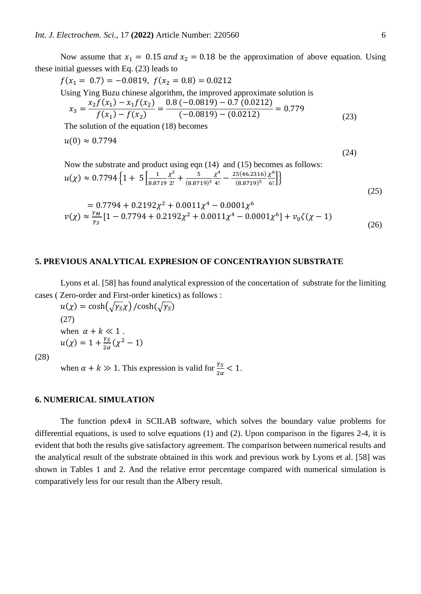Now assume that  $x_1 = 0.15$  and  $x_2 = 0.18$  be the approximation of above equation. Using these initial guesses with Eq. (23) leads to

$$
f(x_1 = 0.7) = -0.0819, f(x_2 = 0.8) = 0.0212
$$
  
Using Ying Buzu Chinese algorithm, the improved approximate solution is  

$$
x_3 = \frac{x_2 f(x_1) - x_1 f(x_2)}{f(x_1) - f(x_2)} = \frac{0.8 (-0.0819) - 0.7 (0.0212)}{(-0.0819) - (0.0212)} = 0.779
$$
 (23)

The solution of the equation (18) becomes

$$
u(0) \approx 0.7794
$$

(24)

Now the substrate and product using eqn (14) and (15) becomes as follows:  
\n
$$
u(\chi) \approx 0.7794 \left\{ 1 + 5 \left[ \frac{1}{8.8719} \frac{\chi^2}{2!} + \frac{5}{(8.8719)^3} \frac{\chi^4}{4!} - \frac{25(46.2316)}{(8.8719)^5} \frac{\chi^6}{6!} \right] \right\}
$$
\n(25)

$$
= 0.7794 + 0.2192\chi^2 + 0.0011\chi^4 - 0.0001\chi^6
$$
  

$$
v(\chi) \approx \frac{\gamma_M}{\gamma_S} [1 - 0.7794 + 0.2192\chi^2 + 0.0011\chi^4 - 0.0001\chi^6] + v_0\zeta(\chi - 1)
$$
 (26)

#### **5. PREVIOUS ANALYTICAL EXPRESION OF CONCENTRAYION SUBSTRATE**

Lyons et al. [58] has found analytical expression of the concertation of substrate for the limiting cases ( Zero-order and First-order kinetics) as follows :

 $u(\chi) = \cosh(\sqrt{\gamma_s}\chi)/\cosh(\sqrt{\gamma_s})$ (27) when  $\alpha + k \ll 1$ .  $u(\chi) = 1 + \frac{\gamma_S}{2g}$  $\frac{rS}{2\alpha}(\chi)$  $^{2}-1)$ 

(28)

when  $\alpha + k \gg 1$ . This expression is valid for  $\frac{\gamma_s}{2\alpha} < 1$ .

# **6. NUMERICAL SIMULATION**

The function pdex4 in SCILAB software, which solves the boundary value problems for differential equations, is used to solve equations (1) and (2). Upon comparison in the figures 2-4, it is evident that both the results give satisfactory agreement. The comparison between numerical results and the analytical result of the substrate obtained in this work and previous work by Lyons et al. [58] was shown in Tables 1 and 2. And the relative error percentage compared with numerical simulation is comparatively less for our result than the Albery result.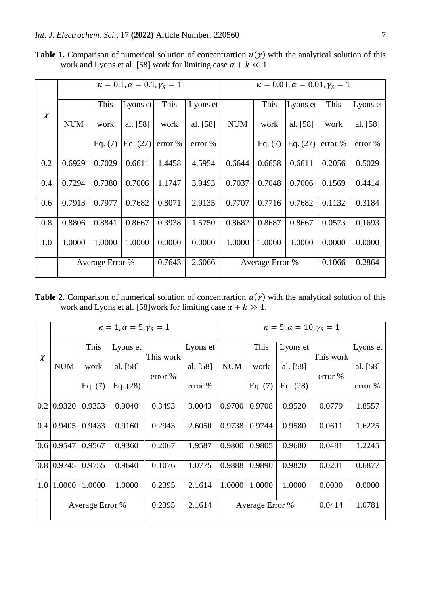**Table 1.** Comparison of numerical solution of concentrartion  $u(\chi)$  with the analytical solution of this work and Lyons et al. [58] work for limiting case  $\alpha + k \ll 1$ .

|        | $\kappa = 0.1, \alpha = 0.1, \gamma_s = 1$ |           |            |         |          | $\kappa = 0.01, \alpha = 0.01, \gamma_s = 1$ |           |            |         |          |
|--------|--------------------------------------------|-----------|------------|---------|----------|----------------------------------------------|-----------|------------|---------|----------|
|        |                                            | This      | Lyons et   | This    | Lyons et |                                              | This      | Lyons et   | This    | Lyons et |
| $\chi$ | <b>NUM</b>                                 | work      | al. [58]   | work    | al. [58] | <b>NUM</b>                                   | work      | al. [58]   | work    | al. [58] |
|        |                                            | Eq. $(7)$ | Eq. $(27)$ | error % | error %  |                                              | Eq. $(7)$ | Eq. $(27)$ | error % | error %  |
| 0.2    | 0.6929                                     | 0.7029    | 0.6611     | 1.4458  | 4.5954   | 0.6644                                       | 0.6658    | 0.6611     | 0.2056  | 0.5029   |
| 0.4    | 0.7294                                     | 0.7380    | 0.7006     | 1.1747  | 3.9493   | 0.7037                                       | 0.7048    | 0.7006     | 0.1569  | 0.4414   |
| 0.6    | 0.7913                                     | 0.7977    | 0.7682     | 0.8071  | 2.9135   | 0.7707                                       | 0.7716    | 0.7682     | 0.1132  | 0.3184   |
| 0.8    | 0.8806                                     | 0.8841    | 0.8667     | 0.3938  | 1.5750   | 0.8682                                       | 0.8687    | 0.8667     | 0.0573  | 0.1693   |
| 1.0    | 1.0000                                     | 1.0000    | 1.0000     | 0.0000  | 0.0000   | 1.0000                                       | 1.0000    | 1.0000     | 0.0000  | 0.0000   |
|        | Average Error %                            |           |            | 0.7643  | 2.6066   | Average Error %                              |           |            | 0.1066  | 0.2864   |

**Table 2.** Comparison of numerical solution of concentrartion  $u(\chi)$  with the analytical solution of this work and Lyons et al. [58] work for limiting case  $\alpha + k \gg 1$ .

|        | $\kappa = 1, \alpha = 5, \gamma_s = 1$ |           |            |           |          |            | $\kappa = 5, \alpha = 10, \gamma_s = 1$ |            |           |          |  |
|--------|----------------------------------------|-----------|------------|-----------|----------|------------|-----------------------------------------|------------|-----------|----------|--|
|        |                                        | This      | Lyons et   |           | Lyons et |            | This                                    | Lyons et   |           | Lyons et |  |
| $\chi$ | <b>NUM</b>                             | work      | al. [58]   | This work | al. [58] | <b>NUM</b> | work                                    | al. [58]   | This work | al. [58] |  |
|        |                                        | Eq. $(7)$ | Eq. $(28)$ | error %   | error %  |            | Eq. $(7)$                               | Eq. $(28)$ | error %   | error %  |  |
| 0.2    | 0.9320                                 | 0.9353    | 0.9040     | 0.3493    | 3.0043   | 0.9700     | 0.9708                                  | 0.9520     | 0.0779    | 1.8557   |  |
|        |                                        |           |            |           |          |            |                                         |            |           |          |  |
| 0.4    | 0.9405                                 | 0.9433    | 0.9160     | 0.2943    | 2.6050   | 0.9738     | 0.9744                                  | 0.9580     | 0.0611    | 1.6225   |  |
|        | $0.6 \mid 0.9547$                      | 0.9567    | 0.9360     | 0.2067    | 1.9587   | 0.9800     | 0.9805                                  | 0.9680     | 0.0481    | 1.2245   |  |
| 0.8    | 0.9745                                 | 0.9755    | 0.9640     | 0.1076    | 1.0775   | 0.9888     | 0.9890                                  | 0.9820     | 0.0201    | 0.6877   |  |
|        | $1.0$   1.0000                         | 1.0000    | 1.0000     | 0.2395    | 2.1614   | 1.0000     | 1.0000                                  | 1.0000     | 0.0000    | 0.0000   |  |
|        | Average Error %                        |           |            | 0.2395    | 2.1614   |            | Average Error %                         |            | 0.0414    | 1.0781   |  |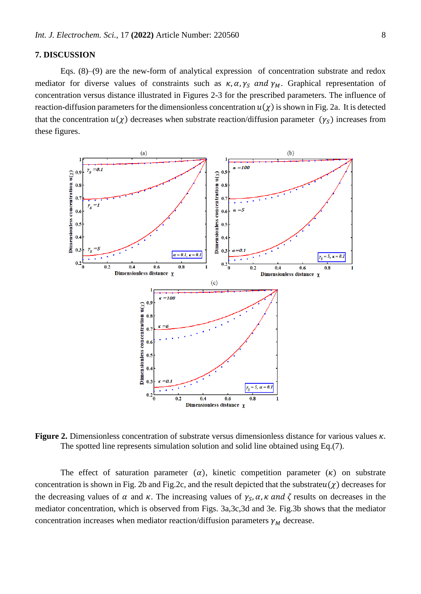#### **7. DISCUSSION**

Eqs. (8)–(9) are the new-form of analytical expression of concentration substrate and redox mediator for diverse values of constraints such as  $\kappa$ ,  $\alpha$ ,  $\gamma_s$  and  $\gamma_M$ . Graphical representation of concentration versus distance illustrated in Figures 2-3 for the prescribed parameters. The influence of reaction-diffusion parameters for the dimensionless concentration  $u(\gamma)$  is shown in Fig. 2a. It is detected that the concentration  $u(\chi)$  decreases when substrate reaction/diffusion parameter  $(\gamma_s)$  increases from these figures.



**Figure 2.** Dimensionless concentration of substrate versus dimensionless distance for various values  $\kappa$ . The spotted line represents simulation solution and solid line obtained using Eq.(7).

The effect of saturation parameter  $(\alpha)$ , kinetic competition parameter  $(\kappa)$  on substrate concentration is shown in Fig. 2b and Fig.2c, and the result depicted that the substrate $u(\chi)$  decreases for the decreasing values of  $\alpha$  and  $\kappa$ . The increasing values of  $\gamma_s$ ,  $\alpha$ ,  $\kappa$  and  $\zeta$  results on decreases in the mediator concentration, which is observed from Figs. 3a,3c,3d and 3e. Fig.3b shows that the mediator concentration increases when mediator reaction/diffusion parameters  $\gamma_M$  decrease.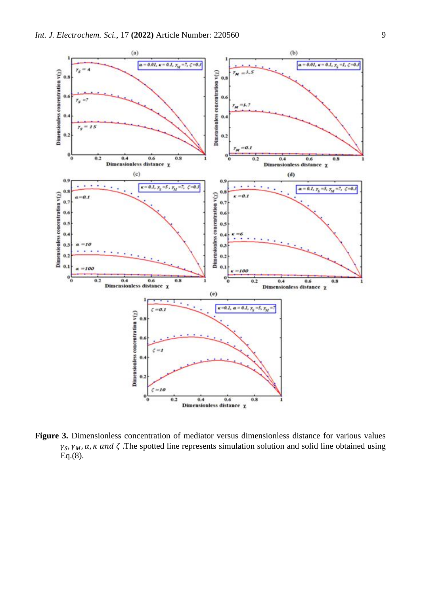

**Figure 3.** Dimensionless concentration of mediator versus dimensionless distance for various values  $\gamma_S$ ,  $\gamma_M$ ,  $\alpha$ ,  $\kappa$  and  $\zeta$ . The spotted line represents simulation solution and solid line obtained using Eq.(8).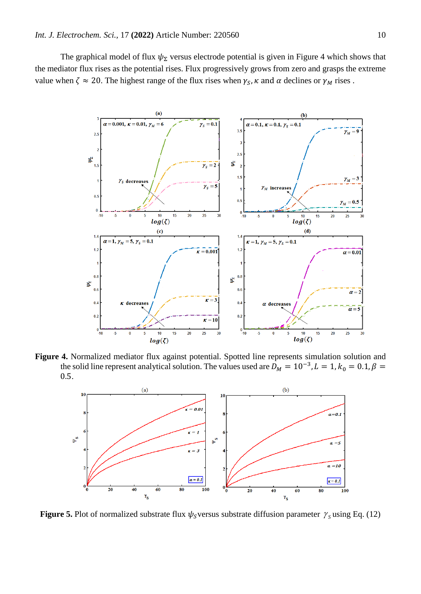The graphical model of flux  $\psi_{\Sigma}$  versus electrode potential is given in Figure 4 which shows that the mediator flux rises as the potential rises. Flux progressively grows from zero and grasps the extreme value when  $\zeta \approx 20$ . The highest range of the flux rises when  $\gamma_S$ ,  $\kappa$  and  $\alpha$  declines or  $\gamma_M$  rises.



**Figure 4.** Normalized mediator flux against potential. Spotted line represents simulation solution and the solid line represent analytical solution. The values used are  $D_M = 10^{-3}$ ,  $L = 1$ ,  $k_0 = 0.1$ ,  $\beta =$ 0.5.



**Figure 5.** Plot of normalized substrate flux  $\psi_S$  versus substrate diffusion parameter  $\gamma_S$  using Eq. (12)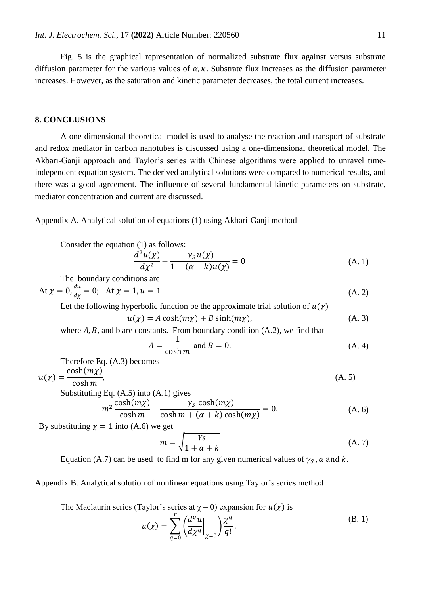Fig. 5 is the graphical representation of normalized substrate flux against versus substrate diffusion parameter for the various values of  $\alpha$ ,  $\kappa$ . Substrate flux increases as the diffusion parameter increases. However, as the saturation and kinetic parameter decreases, the total current increases.

#### **8. CONCLUSIONS**

A one-dimensional theoretical model is used to analyse the reaction and transport of substrate and redox mediator in carbon nanotubes is discussed using a one-dimensional theoretical model. The Akbari-Ganji approach and Taylor's series with Chinese algorithms were applied to unravel timeindependent equation system. The derived analytical solutions were compared to numerical results, and there was a good agreement. The influence of several fundamental kinetic parameters on substrate, mediator concentration and current are discussed.

Appendix A. Analytical solution of equations (1) using Akbari-Ganji method

Consider the equation (1) as follows:

$$
\frac{d^2u(\chi)}{d\chi^2} - \frac{\gamma_S u(\chi)}{1 + (\alpha + k)u(\chi)} = 0
$$
\n(A. 1)

The boundary conditions are

At 
$$
\chi = 0
$$
,  $\frac{du}{dx} = 0$ ; At  $\chi = 1$ ,  $u = 1$  (A. 2)

Let the following hyperbolic function be the approximate trial solution of  $u(\gamma)$ 

$$
u(\chi) = A \cosh(m\chi) + B \sinh(m\chi), \tag{A. 3}
$$

where  $A$ ,  $B$ , and  $b$  are constants. From boundary condition (A.2), we find that

$$
A = \frac{1}{\cosh m} \text{ and } B = 0. \tag{A. 4}
$$

Therefore Eq. (A.3) becomes

$$
u(\chi) = \frac{\cosh(m\chi)}{\cosh m},\tag{A.5}
$$

Substituting Eq. (A.5) into (A.1) gives  
\n
$$
m^2 \frac{\cosh(m\chi)}{\cosh m} - \frac{\gamma_S \cosh(m\chi)}{\cosh m + (\alpha + k) \cosh(m\chi)} = 0.
$$
\n(A. 6)

By substituting  $\chi = 1$  into (A.6) we get

$$
m = \sqrt{\frac{\gamma_S}{1 + \alpha + k}}\tag{A.7}
$$

Equation (A.7) can be used to find m for any given numerical values of  $\gamma_s$ ,  $\alpha$  and  $k$ .

Appendix B. Analytical solution of nonlinear equations using Taylor's series method

The Maclaurin series (Taylor's series at  $\chi = 0$ ) expansion for  $u(\chi)$  is

$$
u(\chi) = \sum_{q=0}^{r} \left(\frac{d^q u}{d\chi^q}\bigg|_{\chi=0}\right) \frac{\chi^q}{q!}.
$$
 (B. 1)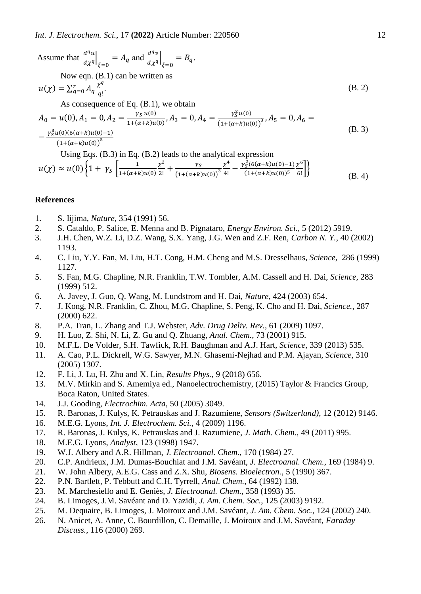Assume that  $\frac{d^q u}{dx^q}$  $\frac{a-a}{d\chi^q}$  $\zeta_{\xi=0} = A_q$  and  $\frac{d^q v}{dx^q}$  $\frac{a}{d\chi^q}$  $\zeta = 0 = B_q.$ 

Now eqn. (B.1) can be written as

$$
u(\chi) = \sum_{q=0}^{r} A_q \frac{\chi^q}{q!}.
$$
 (B. 2)

As consequence of Eq. (B.1), we obtain

$$
A_0 = u(0), A_1 = 0, A_2 = \frac{\gamma_S u(0)}{1 + (\alpha + k)u(0)}, A_3 = 0, A_4 = \frac{\gamma_S^2 u(0)}{(1 + (\alpha + k)u(0))^3}, A_5 = 0, A_6 = \frac{\gamma_S^3 u(0) (6(\alpha + k)u(0) - 1)}{(1 + (\alpha + k)u(0))^5}
$$
(B. 3)

Using Eqs. 
$$
(B.3)
$$
 in Eq.  $(B.2)$  leads to the analytical expression

$$
u(\chi) \approx u(0) \left\{ 1 + \gamma_S \left[ \frac{1}{1 + (\alpha + k)u(0)} \frac{\chi^2}{2!} + \frac{\gamma_S}{\left(1 + (\alpha + k)u(0)\right)^3} \frac{\chi^4}{4!} - \frac{\gamma_S^2 (6(\alpha + k)u(0) - 1)}{(1 + (\alpha + k)u(0))^5} \frac{\chi^6}{6!} \right] \right\}
$$
(B. 4)

#### **References**

- 1. S. Iijima, *Nature*, 354 (1991) 56.
- 2. S. Cataldo, P. Salice, E. Menna and B. Pignataro, *Energy Environ. Sci.*, 5 (2012) 5919.
- 3. J.H. Chen, W.Z. Li, D.Z. Wang, S.X. Yang, J.G. Wen and Z.F. Ren, *Carbon N. Y.*, 40 (2002) 1193.
- 4. C. Liu, Y.Y. Fan, M. Liu, H.T. Cong, H.M. Cheng and M.S. Dresselhaus, *Science,* 286 (1999) 1127.
- 5. S. Fan, M.G. Chapline, N.R. Franklin, T.W. Tombler, A.M. Cassell and H. Dai, *Science,* 283 (1999) 512.
- 6. A. Javey, J. Guo, Q. Wang, M. Lundstrom and H. Dai, *Nature*, 424 (2003) 654.
- 7. J. Kong, N.R. Franklin, C. Zhou, M.G. Chapline, S. Peng, K. Cho and H. Dai, *Science.*, 287 (2000) 622.
- 8. P.A. Tran, L. Zhang and T.J. Webster, *Adv. Drug Deliv. Rev.*, 61 (2009) 1097.
- 9. H. Luo, Z. Shi, N. Li, Z. Gu and Q. Zhuang, *Anal. Chem.*, 73 (2001) 915.
- 10. M.F.L. De Volder, S.H. Tawfick, R.H. Baughman and A.J. Hart, *Science*, 339 (2013) 535.
- 11. A. Cao, P.L. Dickrell, W.G. Sawyer, M.N. Ghasemi-Nejhad and P.M. Ajayan, *Science*, 310 (2005) 1307.
- 12. F. Li, J. Lu, H. Zhu and X. Lin, *Results Phys.*, 9 (2018) 656.
- 13. M.V. Mirkin and S. Amemiya ed., Nanoelectrochemistry, (2015) Taylor & Francics Group, Boca Raton, United States.
- 14. J.J. Gooding, *Electrochim. Acta*, 50 (2005) 3049.
- 15. R. Baronas, J. Kulys, K. Petrauskas and J. Razumiene, *Sensors (Switzerland)*, 12 (2012) 9146.
- 16. M.E.G. Lyons, *Int. J. Electrochem. Sci.*, 4 (2009) 1196.
- 17. R. Baronas, J. Kulys, K. Petrauskas and J. Razumiene, *J. Math. Chem.*, 49 (2011) 995.
- 18. M.E.G. Lyons, *Analyst*, 123 (1998) 1947.
- 19. W.J. Albery and A.R. Hillman, *J. Electroanal. Chem.*, 170 (1984) 27.
- 20. C.P. Andrieux, J.M. Dumas-Bouchiat and J.M. Savéant, *J. Electroanal. Chem.*, 169 (1984) 9.
- 21. W. John Albery, A.E.G. Cass and Z.X. Shu, *Biosens. Bioelectron.*, 5 (1990) 367.
- 22. P.N. Bartlett, P. Tebbutt and C.H. Tyrrell, *Anal. Chem.*, 64 (1992) 138.
- 23. M. Marchesiello and E. Geniès, *J. Electroanal. Chem.*, 358 (1993) 35.
- 24. B. Limoges, J.M. Savéant and D. Yazidi, *J. Am. Chem. Soc.*, 125 (2003) 9192.
- 25. M. Dequaire, B. Limoges, J. Moiroux and J.M. Savéant, *J. Am. Chem. Soc.*, 124 (2002) 240.
- 26. N. Anicet, A. Anne, C. Bourdillon, C. Demaille, J. Moiroux and J.M. Savéant, *Faraday Discuss.*, 116 (2000) 269.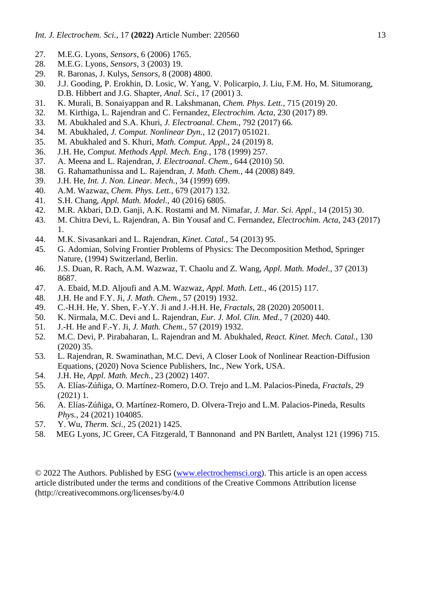- 27. M.E.G. Lyons, *Sensors*, 6 (2006) 1765.
- 28. M.E.G. Lyons, *Sensors,* 3 (2003) 19.
- 29. R. Baronas, J. Kulys, *Sensors*, 8 (2008) 4800.
- 30. J.J. Gooding, P. Erokhin, D. Losic, W. Yang, V. Policarpio, J. Liu, F.M. Ho, M. Situmorang, D.B. Hibbert and J.G. Shapter, *Anal. Sci.*, 17 (2001) 3.
- 31. K. Murali, B. Sonaiyappan and R. Lakshmanan, *Chem. Phys. Lett.*, 715 (2019) 20.
- 32. M. Kirthiga, L. Rajendran and C. Fernandez, *Electrochim. Acta*, 230 (2017) 89.
- 33. M. Abukhaled and S.A. Khuri, *J. Electroanal. Chem.*, 792 (2017) 66.
- 34. M. Abukhaled, *J. Comput. Nonlinear Dyn.*, 12 (2017) 051021.
- 35. M. Abukhaled and S. Khuri, *Math. Comput. Appl.*, 24 (2019) 8.
- 36. J.H. He, *Comput. Methods Appl. Mech. Eng.*, 178 (1999) 257.
- 37. A. Meena and L. Rajendran, *J. Electroanal. Chem.*, 644 (2010) 50.
- 38. G. Rahamathunissa and L. Rajendran, *J. Math. Chem.*, 44 (2008) 849.
- 39. J.H. He, *Int. J. Non. Linear. Mech.*, 34 (1999) 699.
- 40. A.M. Wazwaz, *Chem. Phys. Lett.*, 679 (2017) 132.
- 41. S.H. Chang, *Appl. Math. Model.*, 40 (2016) 6805.
- 42. M.R. Akbari, D.D. Ganji, A.K. Rostami and M. Nimafar, *J. Mar. Sci. Appl.*, 14 (2015) 30.
- 43. M. Chitra Devi, L. Rajendran, A. Bin Yousaf and C. Fernandez, *Electrochim. Acta*, 243 (2017) 1.
- 44. M.K. Sivasankari and L. Rajendran, *Kinet. Catal.*, 54 (2013) 95.
- 45. G. Adomian, Solving Frontier Problems of Physics: The Decomposition Method, Springer Nature, (1994) Switzerland, Berlin.
- 46. J.S. Duan, R. Rach, A.M. Wazwaz, T. Chaolu and Z. Wang, *Appl. Math. Model.*, 37 (2013) 8687.
- 47. A. Ebaid, M.D. Aljoufi and A.M. Wazwaz, *Appl. Math. Lett.*, 46 (2015) 117.
- 48. J.H. He and F.Y. Ji, *J. Math. Chem.*, 57 (2019) 1932.
- 49. C.-H.H. He, Y. Shen, F.-Y.Y. Ji and J.-H.H. He, *Fractals*, 28 (2020) 2050011.
- 50. K. Nirmala, M.C. Devi and L. Rajendran, *Eur. J. Mol. Clin. Med.,* 7 (2020) 440.
- 51. J.-H. He and F.-Y. Ji, *J. Math. Chem.*, 57 (2019) 1932.
- 52. M.C. Devi, P. Pirabaharan, L. Rajendran and M. Abukhaled, *React. Kinet. Mech. Catal.*, 130 (2020) 35.
- 53. L. Rajendran, R. Swaminathan, M.C. Devi, A Closer Look of Nonlinear Reaction-Diffusion Equations, (2020) Nova Science Publishers, Inc., New York, USA.
- 54. J.H. He, *Appl. Math. Mech.,* 23 (2002) 1407.
- 55. A. Elías-Zúñiga, O. Martínez-Romero, D.O. Trejo and L.M. Palacios-Pineda, *Fractals*, 29 (2021) 1.
- 56. A. Elías-Zúñiga, O. Martínez-Romero, D. Olvera-Trejo and L.M. Palacios-Pineda, Results *Phys.*, 24 (2021) 104085.
- 57. Y. Wu, *Therm. Sci.*, 25 (2021) 1425.
- 58. MEG Lyons, JC Greer, CA Fitzgerald, T Bannonand and PN Bartlett, Analyst 121 (1996) 715.

© 2022 The Authors. Published by ESG [\(www.electrochemsci.org\)](http://www.electrochemsci.org/). This article is an open access article distributed under the terms and conditions of the Creative Commons Attribution license (http://creativecommons.org/licenses/by/4.0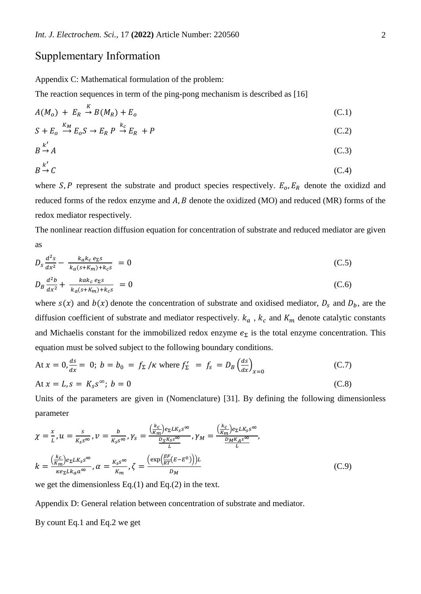# Supplementary Information

#### Appendix C: Mathematical formulation of the problem:

The reaction sequences in term of the ping-pong mechanism is described as [16]

$$
A(M_o) + E_R \stackrel{K}{\rightarrow} B(M_R) + E_o \tag{C.1}
$$

$$
S + E_o \stackrel{K_M}{\longrightarrow} E_o S \to E_R P \stackrel{k_c}{\to} E_R + P \tag{C.2}
$$

$$
B \xrightarrow{k'} A \tag{C.3}
$$

$$
B \xrightarrow{k'} C
$$
 (C.4)

where  $S, P$  represent the substrate and product species respectively.  $E_o, E_R$  denote the oxidizd and reduced forms of the redox enzyme and  $A$ ,  $B$  denote the oxidized (MO) and reduced (MR) forms of the redox mediator respectively.

The nonlinear reaction diffusion equation for concentration of substrate and reduced mediator are given as

$$
D_s \frac{d^2 s}{dx^2} - \frac{k_a k_c e_{\Sigma} s}{k_a (s + K_m) + k_c s} = 0
$$
\n(C.5)

$$
D_B \frac{d^2 b}{dx^2} + \frac{k a k_c e_{\Sigma} s}{k_a (s + k_m) + k_c s} = 0
$$
\n(C.6)

where  $s(x)$  and  $b(x)$  denote the concentration of substrate and oxidised mediator,  $D_s$  and  $D_b$ , are the diffusion coefficient of substrate and mediator respectively.  $k_a$ ,  $k_c$  and  $K_m$  denote catalytic constants and Michaelis constant for the immobilized redox enzyme  $e_{\Sigma}$  is the total enzyme concentration. This equation must be solved subject to the following boundary conditions.

At 
$$
x = 0
$$
,  $\frac{ds}{dx} = 0$ ;  $b = b_0 = f_{\Sigma} / \kappa$  where  $f'_{\Sigma} = f_s = D_B \left(\frac{ds}{dx}\right)_{x=0}$  (C.7)  
At  $x = L$ ,  $s = K_s s^{\infty}$ ;  $b = 0$  (C.8)

Units of the parameters are given in (Nomenclature) [31]. By defining the following dimensionless parameter

$$
\chi = \frac{x}{L}, u = \frac{s}{K_{s}s^{\infty}}, v = \frac{b}{K_{s}s^{\infty}}, \gamma_{s} = \frac{\left(\frac{k_{c}}{K_{m}}\right)e_{\Sigma}LK_{s}s^{\infty}}{\frac{D_{S}K_{s}s^{\infty}}{L}}, \gamma_{M} = \frac{\left(\frac{k_{c}}{K_{m}}\right)e_{\Sigma}LK_{s}s^{\infty}}{\frac{D_{M}K_{A}s^{\infty}}{L}},
$$

$$
k = \frac{\left(\frac{k_{c}}{K_{m}}\right)e_{\Sigma}LK_{s}s^{\infty}}{\kappa e_{\Sigma}Lk_{a}a^{\infty}}, \alpha = \frac{K_{s}s^{\infty}}{K_{m}}, \zeta = \frac{\left(\exp\left(\frac{\beta F}{RT}(E - E^{0})\right)\right)L}{D_{M}} \tag{C.9}
$$

we get the dimensionless Eq.(1) and Eq.(2) in the text.

Appendix D: General relation between concentration of substrate and mediator.

By count Eq.1 and Eq.2 we get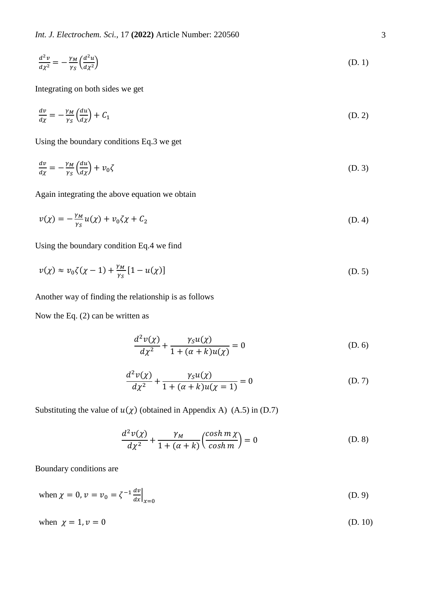$$
\frac{d^2v}{dx^2} = -\frac{\gamma_M}{\gamma_S} \left(\frac{d^2u}{dx^2}\right) \tag{D. 1}
$$

Integrating on both sides we get

$$
\frac{dv}{dx} = -\frac{\gamma_M}{\gamma_S} \left( \frac{du}{d\chi} \right) + C_1 \tag{D. 2}
$$

Using the boundary conditions Eq.3 we get

$$
\frac{dv}{dx} = -\frac{\gamma_M}{\gamma_S} \left(\frac{du}{dx}\right) + v_0 \zeta \tag{D. 3}
$$

Again integrating the above equation we obtain

$$
v(\chi) = -\frac{\gamma_M}{\gamma_S}u(\chi) + v_0\zeta\chi + C_2\tag{D.4}
$$

Using the boundary condition Eq.4 we find

$$
v(\chi) \approx v_0 \zeta(\chi - 1) + \frac{\gamma_M}{\gamma_S} [1 - u(\chi)] \tag{D.5}
$$

Another way of finding the relationship is as follows

Now the Eq. (2) can be written as

$$
\frac{d^2v(\chi)}{d\chi^2} + \frac{\gamma_S u(\chi)}{1 + (\alpha + k)u(\chi)} = 0
$$
 (D. 6)

$$
\frac{d^2v(\chi)}{d\chi^2} + \frac{\gamma_S u(\chi)}{1 + (\alpha + k)u(\chi = 1)} = 0
$$
 (D. 7)

Substituting the value of  $u(\chi)$  (obtained in Appendix A) (A.5) in (D.7)

$$
\frac{d^2v(\chi)}{d\chi^2} + \frac{\gamma_M}{1 + (\alpha + k)} \left(\frac{\cosh m\chi}{\cosh m}\right) = 0
$$
 (D. 8)

Boundary conditions are

when 
$$
\chi = 0
$$
,  $v = v_0 = \zeta^{-1} \frac{dv}{dx}\Big|_{x=0}$  (D. 9)

when  $\chi = 1, \nu = 0$  (D. 10)